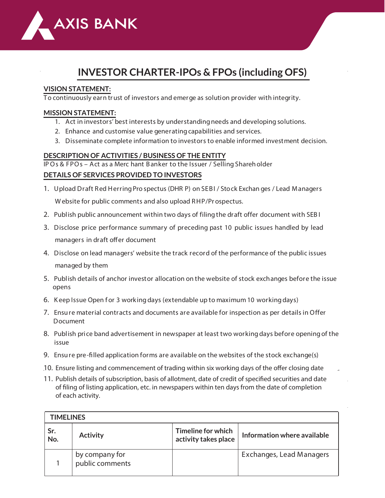

# **INVESTOR CHARTER-IPOs & FPOs (including OFS)**

#### **VISION STATEMENT:**

To continuously earn trust of investors and emerge as solution provider with integrity.

#### **MISSION STATEMENT:**

- **1.** Act in investors' best interests by understandingneeds and developing solutions.
- **2.** Enhance and customise value generatingcapabilities and services.
- **3.** Disseminate complete information to investors to enable informed investment decision.

#### **DESCRIPTION OF ACTIVITIES / BUSINESS OF THE ENTITY**

**IPOs & FPOs – Act as a Merc hant Banker to the Issuer / Selling Shareholder DETAILS OF SERVICES PROVIDED TO INVESTORS**

- **1.** Upload Draft Red HerringPro spectus (DHR P) on SEBI / Stock Exchan ges / Lead Managers W ebsite for public comments and also upload RHP/Pr ospectus.
- **2.** Publish public announcement within two days of filingthe draft offer document with SEB I
- **3.** Disclose price performance summary of preceding past 10 public issues handled by lead managers in draft offer document
- **4.** Disclose on lead managers' website the track record of the performance of the public issues managed by them
- **5.** Publish details of anchor investor allocation on the website of stock exchanges before the issue opens
- 6. Keep Issue Open for 3 working days (extendable up to maximum 10 working days)
- **7.** Ensure material contracts and documents are available for inspection as per details in Offer Document
- **8.** Publish price band advertisement in newspaper at least two workingdays before openingof the issue
- **9.** Ensure pre-lled application forms are available on the websites of the stock exchange(s)
- 10. Ensure listing and commencement of trading within six working days of the offer closing date
- 11. Publish details of subscription, basis of allotment, date of credit of specified securities and date of filing of listing application, etc. in newspapers within ten days from the date of completion of each activity.

| <b>TIMELINES</b> |                                   |                                            |                             |  |  |  |
|------------------|-----------------------------------|--------------------------------------------|-----------------------------|--|--|--|
| Sr.<br>No.       | <b>Activity</b>                   | Timeline for which<br>activity takes place | Information where available |  |  |  |
|                  | by company for<br>public comments |                                            | Exchanges, Lead Managers    |  |  |  |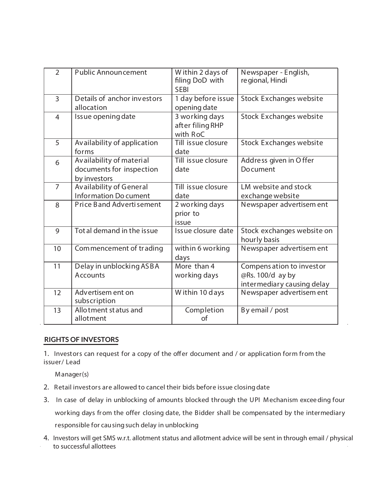| $\overline{2}$ | <b>Public Announcement</b>                                           | Within 2 days of<br>filing DoD with<br><b>SEBI</b> | Newspaper - English,<br>regional, Hindi                                     |
|----------------|----------------------------------------------------------------------|----------------------------------------------------|-----------------------------------------------------------------------------|
| $\overline{3}$ | Details of anchor investors<br>allocation                            | 1 day before issue<br>opening date                 | <b>Stock Exchanges website</b>                                              |
| $\overline{4}$ | Issue opening date                                                   | 3 working days<br>after filing RHP<br>with RoC     | <b>Stock Exchanges website</b>                                              |
| 5              | Availability of application<br>forms                                 | Till issue closure<br>date                         | <b>Stock Exchanges website</b>                                              |
| 6              | Availability of material<br>documents for inspection<br>by investors | Till issue closure<br>date                         | Address given in Offer<br>Document                                          |
| $\overline{7}$ | Availability of General<br><b>Information Do cument</b>              | Till issue closure<br>date                         | LM website and stock<br>exchange website                                    |
| 8              | <b>Price Band Advertisement</b>                                      | 2 working days<br>prior to<br>issue                | Newspaper advertisem ent                                                    |
| 9              | Tot al demand in the issue                                           | Issue closure date                                 | Stock exchanges website on<br>hourly basis                                  |
| 10             | Commencement of trading                                              | within 6 working<br>days                           | Newspaper advertisem ent                                                    |
| 11             | Delay in unblocking ASBA<br>Accounts                                 | More than 4<br>working days                        | Compens ation to investor<br>@Rs. 100/d ay by<br>intermediary causing delay |
| 12             | Advertisem ent on<br>subscription                                    | Within 10 days                                     | Newspaper advertisem ent                                                    |
| 13             | Allo tment status and<br>allotment                                   | Completion<br>of                                   | By email / post                                                             |

#### **RIGHTS OF INVESTORS**

advice<br>advice

1. Investors can request for a copy of the offer document and / or application form from the issuer/ Lead

basis of

Manager(s)

- **2.** Retail investors are allowed to cancel their bids before issue closingdate
- **3.** In case of delay in unblocking of amounts blocked through the UPI Mechanism exceeding four working days from the offer closing date, the Bidder shall be compensated by the intermediary responsible for causing such delay in unblocking
- **4.** Investors will get SMS w.r.t. allotment status and allotment advice will be sent in through email / physical to successful allottees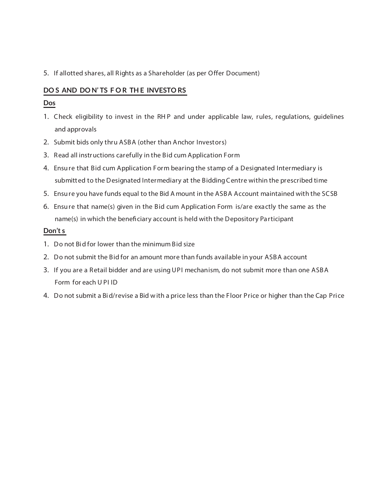**5.** If allotted shares, all Rights as a Shareholder (as per Offer Document)

## **DO S AND DO N' TS F O R TH E INVESTO RS**

## **Dos**

- **1.** Check eligibility to invest in the RH P and under applicable law, rules, regulations, guidelines and approvals
- **2.** Submit bids only thru ASBA (other than Anchor Investors)
- **3.** Read all instructions carefully in the Bid cum Application Form
- **4.** Ensure that Bid cum Application Form bearing the stamp of a Designated Intermediary is submitted to the Designated Intermediary at the Bidding Centre within the prescribed time
- **5.** Ensure you have funds equal to the Bid A mount in the ASBA Account maintained with the SCSB
- **6.** Ensure that name(s) given in the Bid cum Application Form is/are exactly the same as the name(s) in which the beneficiary account is held with the Depository Participant

### **Don't s**

- **1.** Do not Bid for lower than the minimum Bid size
- **2.** Do not submit the Bid for an amount more than funds available in your ASBA account
- **3.** If you are a Retail bidder and are using UPI mechanism, do not submit more than one ASBA Form for each U PI ID
- **4.** Do not submit a Bid/revise a Bid with a price less than the Floor Price or higher than the Cap Price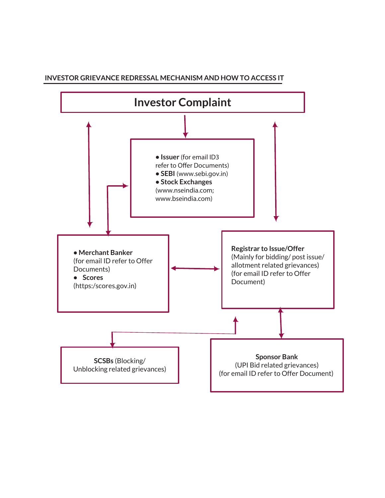#### **INVESTOR GRIEVANCE REDRESSAL MECHANISM AND HOW TO ACCESS IT**

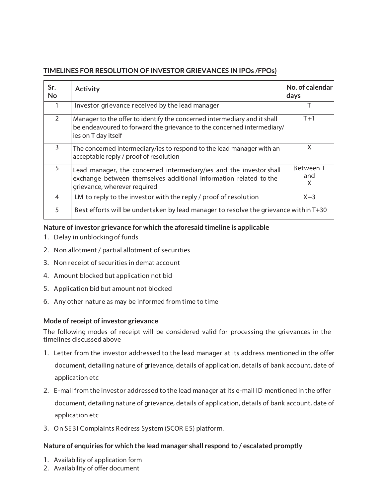## **TIMELINES FOR RESOLUTION OF INVESTOR GRIEVANCES IN IPOs /FPOs)**

| Sr.<br><b>No</b> | <b>Activity</b>                                                                                                                                                           | No. of calendar<br>days      |  |  |
|------------------|---------------------------------------------------------------------------------------------------------------------------------------------------------------------------|------------------------------|--|--|
| 1                | Investor grievance received by the lead manager                                                                                                                           |                              |  |  |
| $\overline{2}$   | Manager to the offer to identify the concerned intermediary and it shall<br>be endeavoured to forward the grievance to the concerned intermediary/<br>ies on T day itself | $T+1$                        |  |  |
| 3                | The concerned intermediary/ies to respond to the lead manager with an<br>acceptable reply / proof of resolution                                                           | X                            |  |  |
| 5                | Lead manager, the concerned intermediary/ies and the investor shall<br>exchange between themselves additional information related to the<br>grievance, wherever required  | <b>Between T</b><br>and<br>X |  |  |
| 4                | LM to reply to the investor with the reply / proof of resolution                                                                                                          | $X+3$                        |  |  |
| 5                | Best efforts will be undertaken by lead manager to resolve the grievance within T+30                                                                                      |                              |  |  |

### **Nature of investor grievance for which the aforesaid timeline is applicable**

- **1.** Delay in unblockingof funds
- **2.** Non allotment / partial allotment of securities
- **3.** Non receipt of securities in demat account
- **4.** Amount blocked but application not bid
- **5.** Application bid but amount not blocked
- **6.** Any other nature as may be informed from time to time

#### **Mode of receipt of investor grievance**

The following modes of receipt will be considered valid for processing the grievances in the timelines discussed above

- **1.** Letter from the investor addressed to the lead manager at its address mentioned in the offer document, detailingnature of grievance, details of application, details of bank account, date of application etc
- **2.** E-mail from the investor addressed to the lead manager at its e-mail ID mentioned in the offer document, detailingnature of grievance, details of application, details of bank account, date of application etc
- **3.** On SEBI Complaints Redress System (SCOR ES) platform.

### **Nature of enquiries for which the lead manager shall respond to / escalated promptly**

- **1.**  Availability of application form
- 2. Availability of offer document